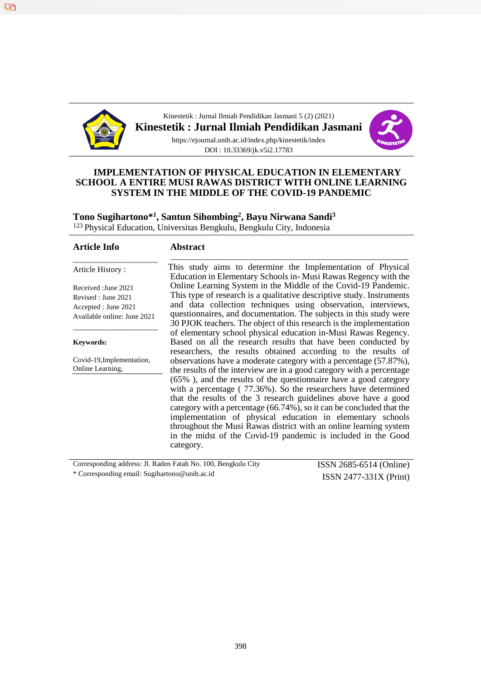

Kinestetik : Jurnal Ilmiah Pendidikan Jasmani 5 (2) (2021)

**Kinestetik : Jurnal Ilmiah Pendidikan Jasmani**



https://ejournal.unib.ac.id/index.php/kinestetik/index DOI : 10.33369/jk.v5i2.17783

#### **IMPLEMENTATION OF PHYSICAL EDUCATION IN ELEMENTARY SCHOOL A ENTIRE MUSI RAWAS DISTRICT WITH ONLINE LEARNING SYSTEM IN THE MIDDLE OF THE COVID-19 PANDEMIC**

# **Tono Sugihartono\*<sup>1</sup> , Santun Sihombing<sup>2</sup> , Bayu Nirwana Sandi<sup>3</sup>**

<sup>123</sup> Physical Education, Universitas Bengkulu, Bengkulu City, Indonesia

| <b>Article Info</b>                                                                                | <b>Abstract</b>                                                                                                                                                                                                                                                                                                                                                                                                                                                                                                                                                                                                                              |
|----------------------------------------------------------------------------------------------------|----------------------------------------------------------------------------------------------------------------------------------------------------------------------------------------------------------------------------------------------------------------------------------------------------------------------------------------------------------------------------------------------------------------------------------------------------------------------------------------------------------------------------------------------------------------------------------------------------------------------------------------------|
| Article History:                                                                                   | This study aims to determine the Implementation of Physical<br>Education in Elementary Schools in-Musi Rawas Regency with the                                                                                                                                                                                                                                                                                                                                                                                                                                                                                                                |
| Received : June 2021<br>Revised : June 2021<br>Accepted : June 2021<br>Available online: June 2021 | Online Learning System in the Middle of the Covid-19 Pandemic.<br>This type of research is a qualitative descriptive study. Instruments<br>and data collection techniques using observation, interviews,<br>questionnaires, and documentation. The subjects in this study were<br>30 PJOK teachers. The object of this research is the implementation                                                                                                                                                                                                                                                                                        |
| <b>Keywords:</b>                                                                                   | of elementary school physical education in-Musi Rawas Regency.<br>Based on all the research results that have been conducted by<br>researchers, the results obtained according to the results of                                                                                                                                                                                                                                                                                                                                                                                                                                             |
| Covid-19, Implementation,<br>Online Learning,                                                      | observations have a moderate category with a percentage (57.87%),<br>the results of the interview are in a good category with a percentage<br>(65%), and the results of the questionnaire have a good category<br>with a percentage (77.36%). So the researchers have determined<br>that the results of the 3 research guidelines above have a good<br>category with a percentage (66.74%), so it can be concluded that the<br>implementation of physical education in elementary schools<br>throughout the Musi Rawas district with an online learning system<br>in the midst of the Covid-19 pandemic is included in the Good<br>category. |

Corresponding address: Jl. Raden Fatah No. 100, Bengkulu City \* Corresponding email: Sugihartono@unib.ac.id

ISSN 2685-6514 (Online) ISSN 2477-331X (Print)

叼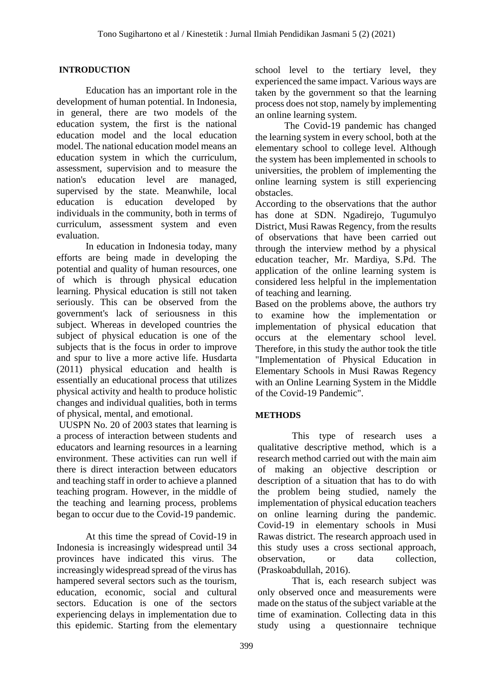#### **INTRODUCTION**

Education has an important role in the development of human potential. In Indonesia, in general, there are two models of the education system, the first is the national education model and the local education model. The national education model means an education system in which the curriculum, assessment, supervision and to measure the nation's education level are managed, supervised by the state. Meanwhile, local education is education developed by individuals in the community, both in terms of curriculum, assessment system and even evaluation.

In education in Indonesia today, many efforts are being made in developing the potential and quality of human resources, one of which is through physical education learning. Physical education is still not taken seriously. This can be observed from the government's lack of seriousness in this subject. Whereas in developed countries the subject of physical education is one of the subjects that is the focus in order to improve and spur to live a more active life. Husdarta (2011) physical education and health is essentially an educational process that utilizes physical activity and health to produce holistic changes and individual qualities, both in terms of physical, mental, and emotional.

UUSPN No. 20 of 2003 states that learning is a process of interaction between students and educators and learning resources in a learning environment. These activities can run well if there is direct interaction between educators and teaching staff in order to achieve a planned teaching program. However, in the middle of the teaching and learning process, problems began to occur due to the Covid-19 pandemic.

At this time the spread of Covid-19 in Indonesia is increasingly widespread until 34 provinces have indicated this virus. The increasingly widespread spread of the virus has hampered several sectors such as the tourism, education, economic, social and cultural sectors. Education is one of the sectors experiencing delays in implementation due to this epidemic. Starting from the elementary school level to the tertiary level, they experienced the same impact. Various ways are taken by the government so that the learning process does not stop, namely by implementing an online learning system.

The Covid-19 pandemic has changed the learning system in every school, both at the elementary school to college level. Although the system has been implemented in schools to universities, the problem of implementing the online learning system is still experiencing obstacles.

According to the observations that the author has done at SDN. Ngadirejo, Tugumulyo District, Musi Rawas Regency, from the results of observations that have been carried out through the interview method by a physical education teacher, Mr. Mardiya, S.Pd. The application of the online learning system is considered less helpful in the implementation of teaching and learning.

Based on the problems above, the authors try to examine how the implementation or implementation of physical education that occurs at the elementary school level. Therefore, in this study the author took the title "Implementation of Physical Education in Elementary Schools in Musi Rawas Regency with an Online Learning System in the Middle of the Covid-19 Pandemic".

#### **METHODS**

This type of research uses a qualitative descriptive method, which is a research method carried out with the main aim of making an objective description or description of a situation that has to do with the problem being studied, namely the implementation of physical education teachers on online learning during the pandemic. Covid-19 in elementary schools in Musi Rawas district. The research approach used in this study uses a cross sectional approach, observation, or data collection, (Praskoabdullah, 2016).

That is, each research subject was only observed once and measurements were made on the status of the subject variable at the time of examination. Collecting data in this study using a questionnaire technique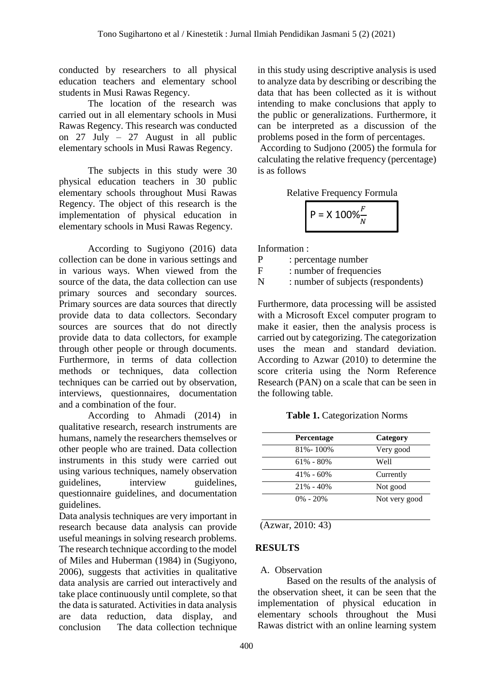conducted by researchers to all physical education teachers and elementary school students in Musi Rawas Regency.

The location of the research was carried out in all elementary schools in Musi Rawas Regency. This research was conducted on 27 July – 27 August in all public elementary schools in Musi Rawas Regency.

The subjects in this study were 30 physical education teachers in 30 public elementary schools throughout Musi Rawas Regency. The object of this research is the implementation of physical education in elementary schools in Musi Rawas Regency.

According to Sugiyono (2016) data collection can be done in various settings and in various ways. When viewed from the source of the data, the data collection can use primary sources and secondary sources. Primary sources are data sources that directly provide data to data collectors. Secondary sources are sources that do not directly provide data to data collectors, for example through other people or through documents. Furthermore, in terms of data collection methods or techniques, data collection techniques can be carried out by observation, interviews, questionnaires, documentation and a combination of the four.

According to Ahmadi (2014) in qualitative research, research instruments are humans, namely the researchers themselves or other people who are trained. Data collection instruments in this study were carried out using various techniques, namely observation<br>guidelines, interview guidelines. guidelines, interview guidelines, questionnaire guidelines, and documentation guidelines.

Data analysis techniques are very important in research because data analysis can provide useful meanings in solving research problems. The research technique according to the model of Miles and Huberman (1984) in (Sugiyono, 2006), suggests that activities in qualitative data analysis are carried out interactively and take place continuously until complete, so that the data is saturated. Activities in data analysis are data reduction, data display, and conclusion The data collection technique

in this study using descriptive analysis is used to analyze data by describing or describing the data that has been collected as it is without intending to make conclusions that apply to the public or generalizations. Furthermore, it can be interpreted as a discussion of the problems posed in the form of percentages.

According to Sudjono (2005) the formula for calculating the relative frequency (percentage) is as follows

Relative Frequency Formula

$$
P = X 100\% \frac{F}{N}
$$

Information :

P : percentage number

F : number of frequencies

N : number of subjects (respondents)

Furthermore, data processing will be assisted with a Microsoft Excel computer program to make it easier, then the analysis process is carried out by categorizing. The categorization uses the mean and standard deviation. According to Azwar (2010) to determine the score criteria using the Norm Reference Research (PAN) on a scale that can be seen in the following table.

**Table 1.** Categorization Norms

| <b>Percentage</b> | Category      |
|-------------------|---------------|
| 81% - 100%        | Very good     |
| $61\% - 80\%$     | Well          |
| $41\% - 60\%$     | Currently     |
| $21\% - 40\%$     | Not good      |
| $0\% - 20\%$      | Not very good |

(Azwar, 2010: 43)

#### **RESULTS**

#### A. Observation

Based on the results of the analysis of the observation sheet, it can be seen that the implementation of physical education in elementary schools throughout the Musi Rawas district with an online learning system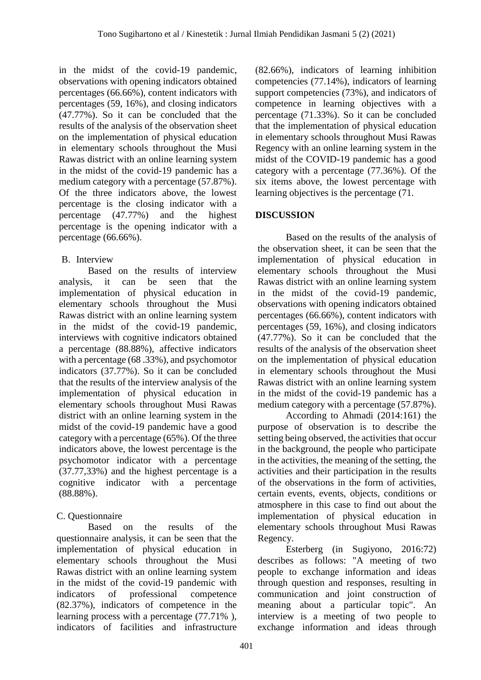in the midst of the covid-19 pandemic, observations with opening indicators obtained percentages (66.66%), content indicators with percentages (59, 16%), and closing indicators (47.77%). So it can be concluded that the results of the analysis of the observation sheet on the implementation of physical education in elementary schools throughout the Musi Rawas district with an online learning system in the midst of the covid-19 pandemic has a medium category with a percentage (57.87%). Of the three indicators above, the lowest percentage is the closing indicator with a percentage (47.77%) and the highest percentage is the opening indicator with a percentage (66.66%).

## B. Interview

Based on the results of interview analysis, it can be seen that the implementation of physical education in elementary schools throughout the Musi Rawas district with an online learning system in the midst of the covid-19 pandemic, interviews with cognitive indicators obtained a percentage (88.88%), affective indicators with a percentage (68 .33%), and psychomotor indicators (37.77%). So it can be concluded that the results of the interview analysis of the implementation of physical education in elementary schools throughout Musi Rawas district with an online learning system in the midst of the covid-19 pandemic have a good category with a percentage (65%). Of the three indicators above, the lowest percentage is the psychomotor indicator with a percentage (37.77,33%) and the highest percentage is a cognitive indicator with a percentage (88.88%).

# C. Questionnaire

Based on the results of the questionnaire analysis, it can be seen that the implementation of physical education in elementary schools throughout the Musi Rawas district with an online learning system in the midst of the covid-19 pandemic with indicators of professional competence (82.37%), indicators of competence in the learning process with a percentage (77.71% ), indicators of facilities and infrastructure (82.66%), indicators of learning inhibition competencies (77.14%), indicators of learning support competencies (73%), and indicators of competence in learning objectives with a percentage (71.33%). So it can be concluded that the implementation of physical education in elementary schools throughout Musi Rawas Regency with an online learning system in the midst of the COVID-19 pandemic has a good category with a percentage (77.36%). Of the six items above, the lowest percentage with learning objectives is the percentage (71.

# **DISCUSSION**

Based on the results of the analysis of the observation sheet, it can be seen that the implementation of physical education in elementary schools throughout the Musi Rawas district with an online learning system in the midst of the covid-19 pandemic, observations with opening indicators obtained percentages (66.66%), content indicators with percentages (59, 16%), and closing indicators (47.77%). So it can be concluded that the results of the analysis of the observation sheet on the implementation of physical education in elementary schools throughout the Musi Rawas district with an online learning system in the midst of the covid-19 pandemic has a medium category with a percentage (57.87%).

According to Ahmadi (2014:161) the purpose of observation is to describe the setting being observed, the activities that occur in the background, the people who participate in the activities, the meaning of the setting, the activities and their participation in the results of the observations in the form of activities, certain events, events, objects, conditions or atmosphere in this case to find out about the implementation of physical education in elementary schools throughout Musi Rawas Regency.

Esterberg (in Sugiyono, 2016:72) describes as follows: "A meeting of two people to exchange information and ideas through question and responses, resulting in communication and joint construction of meaning about a particular topic". An interview is a meeting of two people to exchange information and ideas through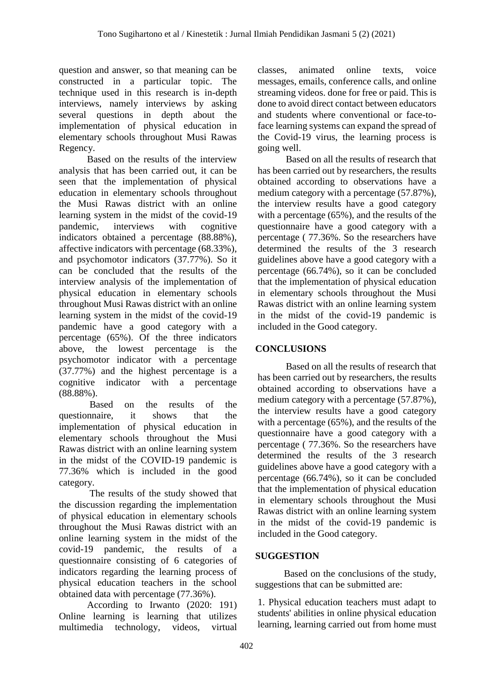question and answer, so that meaning can be constructed in a particular topic. The technique used in this research is in-depth interviews, namely interviews by asking several questions in depth about the implementation of physical education in elementary schools throughout Musi Rawas Regency.

Based on the results of the interview analysis that has been carried out, it can be seen that the implementation of physical education in elementary schools throughout the Musi Rawas district with an online learning system in the midst of the covid-19 pandemic, interviews with cognitive indicators obtained a percentage (88.88%), affective indicators with percentage (68.33%), and psychomotor indicators (37.77%). So it can be concluded that the results of the interview analysis of the implementation of physical education in elementary schools throughout Musi Rawas district with an online learning system in the midst of the covid-19 pandemic have a good category with a percentage (65%). Of the three indicators above, the lowest percentage is the psychomotor indicator with a percentage (37.77%) and the highest percentage is a cognitive indicator with a percentage (88.88%).

Based on the results of the questionnaire, it shows that the implementation of physical education in elementary schools throughout the Musi Rawas district with an online learning system in the midst of the COVID-19 pandemic is 77.36% which is included in the good category.

The results of the study showed that the discussion regarding the implementation of physical education in elementary schools throughout the Musi Rawas district with an online learning system in the midst of the covid-19 pandemic, the results of a questionnaire consisting of 6 categories of indicators regarding the learning process of physical education teachers in the school obtained data with percentage (77.36%).

According to Irwanto (2020: 191) Online learning is learning that utilizes multimedia technology, videos, virtual

classes, animated online texts, voice messages, emails, conference calls, and online streaming videos. done for free or paid. This is done to avoid direct contact between educators and students where conventional or face-toface learning systems can expand the spread of the Covid-19 virus, the learning process is going well.

Based on all the results of research that has been carried out by researchers, the results obtained according to observations have a medium category with a percentage (57.87%), the interview results have a good category with a percentage (65%), and the results of the questionnaire have a good category with a percentage ( 77.36%. So the researchers have determined the results of the 3 research guidelines above have a good category with a percentage (66.74%), so it can be concluded that the implementation of physical education in elementary schools throughout the Musi Rawas district with an online learning system in the midst of the covid-19 pandemic is included in the Good category.

# **CONCLUSIONS**

Based on all the results of research that has been carried out by researchers, the results obtained according to observations have a medium category with a percentage (57.87%), the interview results have a good category with a percentage (65%), and the results of the questionnaire have a good category with a percentage ( 77.36%. So the researchers have determined the results of the 3 research guidelines above have a good category with a percentage (66.74%), so it can be concluded that the implementation of physical education in elementary schools throughout the Musi Rawas district with an online learning system in the midst of the covid-19 pandemic is included in the Good category.

## **SUGGESTION**

Based on the conclusions of the study, suggestions that can be submitted are:

1. Physical education teachers must adapt to students' abilities in online physical education learning, learning carried out from home must